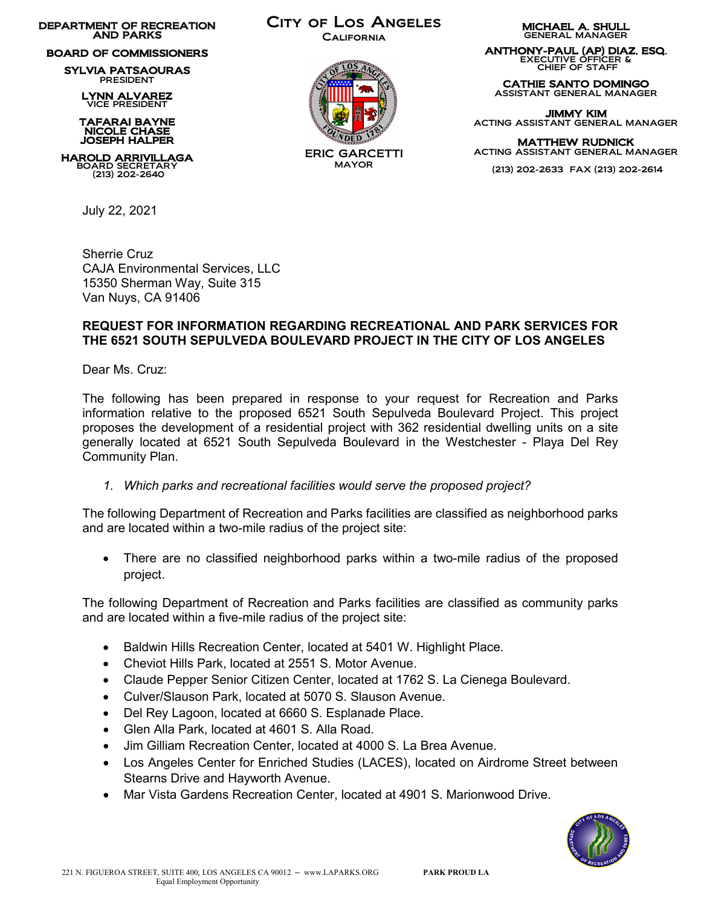DEPARTMENT OF RECREATION AND PARKS

## BOARD OF COMMISSIONERS

SYLVIA PATSAOURAS PRESIDENT

LYNN ALVAREZ VICE PRESIDENT

 TAFARAI BAYNE NICOLE CHASE JOSEPH HALPER

HAROLD ARRIVILLAGA BOARD SECRETARY (213) 202-2640

July 22, 2021

City of Los Angeles

**CALIFORNIA** 



ERIC GARCETTI MAYOR

MICHAEL A. SHULL GENERAL MANAGER

ANTHONY-PAUL (AP) DIAZ, ESQ. EXECUTIVE OFFICER & CHIEF OF STAFF

CATHIE SANTO DOMINGO ASSISTANT GENERAL MANAGER

JIMMY KIM ACTING ASSISTANT GENERAL MANAGER

MATTHEW RUDNICK ACTING ASSISTANT GENERAL MANAGER

(213) 202-2633 FAX (213) 202-2614

Sherrie Cruz CAJA Environmental Services, LLC 15350 Sherman Way, Suite 315 Van Nuys, CA 91406

## **REQUEST FOR INFORMATION REGARDING RECREATIONAL AND PARK SERVICES FOR THE 6521 SOUTH SEPULVEDA BOULEVARD PROJECT IN THE CITY OF LOS ANGELES**

Dear Ms. Cruz:

The following has been prepared in response to your request for Recreation and Parks information relative to the proposed 6521 South Sepulveda Boulevard Project. This project proposes the development of a residential project with 362 residential dwelling units on a site generally located at 6521 South Sepulveda Boulevard in the Westchester - Playa Del Rey Community Plan.

*1. Which parks and recreational facilities would serve the proposed project?* 

The following Department of Recreation and Parks facilities are classified as neighborhood parks and are located within a two-mile radius of the project site:

• There are no classified neighborhood parks within a two-mile radius of the proposed project.

The following Department of Recreation and Parks facilities are classified as community parks and are located within a five-mile radius of the project site:

- Baldwin Hills Recreation Center, located at 5401 W. Highlight Place.
- Cheviot Hills Park, located at 2551 S. Motor Avenue.
- Claude Pepper Senior Citizen Center, located at 1762 S. La Cienega Boulevard.
- Culver/Slauson Park, located at 5070 S. Slauson Avenue.
- Del Rey Lagoon, located at 6660 S. Esplanade Place.
- Glen Alla Park, located at 4601 S. Alla Road.
- Jim Gilliam Recreation Center, located at 4000 S. La Brea Avenue.
- Los Angeles Center for Enriched Studies (LACES), located on Airdrome Street between Stearns Drive and Hayworth Avenue.
- Mar Vista Gardens Recreation Center, located at 4901 S. Marionwood Drive.

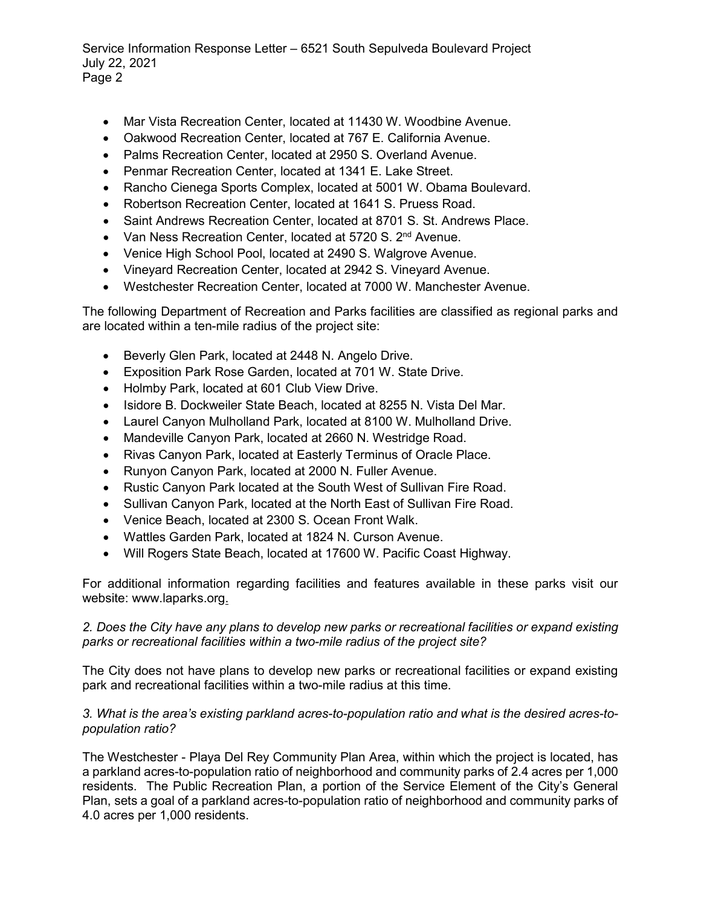Service Information Response Letter – 6521 South Sepulveda Boulevard Project July 22, 2021 Page 2

- Mar Vista Recreation Center, located at 11430 W. Woodbine Avenue.
- Oakwood Recreation Center, located at 767 E. California Avenue.
- Palms Recreation Center, located at 2950 S. Overland Avenue.
- Penmar Recreation Center, located at 1341 E. Lake Street.
- Rancho Cienega Sports Complex, located at 5001 W. Obama Boulevard.
- Robertson Recreation Center, located at 1641 S. Pruess Road.
- Saint Andrews Recreation Center, located at 8701 S. St. Andrews Place.
- Van Ness Recreation Center, located at 5720 S. 2<sup>nd</sup> Avenue.
- Venice High School Pool, located at 2490 S. Walgrove Avenue.
- Vineyard Recreation Center, located at 2942 S. Vineyard Avenue.
- Westchester Recreation Center, located at 7000 W. Manchester Avenue.

The following Department of Recreation and Parks facilities are classified as regional parks and are located within a ten-mile radius of the project site:

- Beverly Glen Park, located at 2448 N. Angelo Drive.
- Exposition Park Rose Garden, located at 701 W. State Drive.
- Holmby Park, located at 601 Club View Drive.
- Isidore B. Dockweiler State Beach, located at 8255 N. Vista Del Mar.
- Laurel Canyon Mulholland Park, located at 8100 W. Mulholland Drive.
- Mandeville Canyon Park, located at 2660 N. Westridge Road.
- Rivas Canyon Park, located at Easterly Terminus of Oracle Place.
- Runyon Canyon Park, located at 2000 N. Fuller Avenue.
- Rustic Canyon Park located at the South West of Sullivan Fire Road.
- Sullivan Canyon Park, located at the North East of Sullivan Fire Road.
- Venice Beach, located at 2300 S. Ocean Front Walk.
- Wattles Garden Park, located at 1824 N. Curson Avenue.
- Will Rogers State Beach, located at 17600 W. Pacific Coast Highway.

For additional information regarding facilities and features available in these parks visit our website: www.laparks.org.

## *2. Does the City have any plans to develop new parks or recreational facilities or expand existing parks or recreational facilities within a two-mile radius of the project site?*

The City does not have plans to develop new parks or recreational facilities or expand existing park and recreational facilities within a two-mile radius at this time.

## *3. What is the area's existing parkland acres-to-population ratio and what is the desired acres-topopulation ratio?*

The Westchester - Playa Del Rey Community Plan Area, within which the project is located, has a parkland acres-to-population ratio of neighborhood and community parks of 2.4 acres per 1,000 residents. The Public Recreation Plan, a portion of the Service Element of the City's General Plan, sets a goal of a parkland acres-to-population ratio of neighborhood and community parks of 4.0 acres per 1,000 residents.